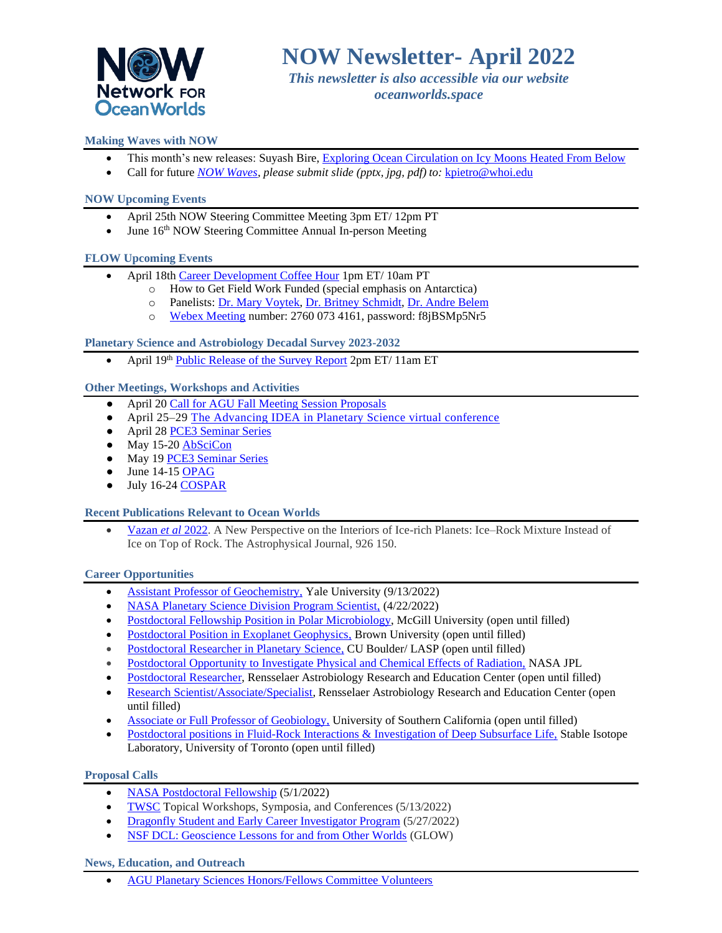

*This newsletter is also accessible via our website oceanworlds.space*

# **Making Waves with NOW**

- This month's new releases: Suyash Bire[, Exploring Ocean Circulation on Icy Moons Heated From Below](https://oceanworlds.space/wp-content/uploads/sites/22/2022/04/April_Bire.jpeg)
- Call for future *[NOW Waves,](https://oceanworlds.space/makingwaves/) please submit slide (pptx, jpg, pdf) to:* [kpietro@whoi.edu](mailto:kpietro@whoi.edu)

## **NOW Upcoming Events**

- April 25th NOW Steering Committee Meeting 3pm ET/ 12pm PT
- June  $16<sup>th</sup>$  NOW Steering Committee Annual In-person Meeting

### **FLOW Upcoming Events**

- April 18th [Career Development Coffee Hour](https://oceanworlds.space/flow/) 1pm ET/ 10am PT
	- o How to Get Field Work Funded (special emphasis on Antarctica)
	- o Panelists: [Dr. Mary Voytek,](https://astrobiology.nasa.gov/nai/directory/voytek-mary/) [Dr. Britney Schmidt,](https://www.engineering.cornell.edu/faculty-directory/britney-schmidt) [Dr. Andre Belem](https://www.linkedin.com/in/andre-l-belem/)
	- o [Webex Meeting](https://jpl.webex.com/jpl/j.php?MTID=m547b507e8944b1bbc4fe8acdfc6638f2) number: 2760 073 4161, password: f8jBSMp5Nr5

## **Planetary Science and Astrobiology Decadal Survey 2023-2032**

• April 19th [Public Release of the Survey Report](https://www.nationalacademies.org/event/04-19-2022/planetary-science-and-astrobiology-decadal-survey-2023-2032-public-release-of-the-survey-report) 2pm ET/ 11am ET

### **Other Meetings, Workshops and Activities**

- April 20 [Call for AGU Fall Meeting Session Proposals](https://www.agu.org/Fall-Meeting)
- April 25–29 [The Advancing IDEA in Planetary Science virtual conference](https://www.hou.usra.edu/meetings/advancingidea2022/)
- April 28 [PCE3 Seminar Series](https://ucr.zoom.us/meeting/register/tJUucO2orTwoHNy8jH5XsUX9Q03kjVuAU3Jd)
- May 15-2[0 AbSciCon](https://www.agu.org/abscicon)
- May 1[9 PCE3 Seminar Series](https://ucr.zoom.us/meeting/register/tJUucO2orTwoHNy8jH5XsUX9Q03kjVuAU3Jd)
- $\bullet$  June 14-1[5 OPAG](https://www.lpi.usra.edu/opag/meetings/upcoming/)
- July 16-24 [COSPAR](https://www.cosparathens2022.org/)

#### **Recent Publications Relevant to Ocean Worlds**

• [Vazan](https://iopscience.iop.org/article/10.3847/1538-4357/ac458c) *et al* 2022. A New Perspective on the Interiors of Ice-rich Planets: Ice–Rock Mixture Instead of Ice on Top of Rock. The Astrophysical Journal, 926 150.

## **Career Opportunities**

- [Assistant Professor of Geochemistry,](https://apply.interfolio.com/94167) Yale University (9/13/2022)
- [NASA Planetary Science Division Program Scientist,](https://science.nasa.gov/about-us/job-opportunities) (4/22/2022)
- [Postdoctoral Fellowship Position in Polar Microbiology,](https://oceanworlds.space/jobs/) McGill University (open until filled)
- [Postdoctoral Position in Exoplanet Geophysics,](http://ghosst.alexjevans.com/) Brown University (open until filled)
- [Postdoctoral Researcher in Planetary Science,](https://jobs.colorado.edu/jobs/JobDetail/?jobId=35763) CU Boulder/ LASP (open until filled)
- [Postdoctoral Opportunity to Investigate Physical and Chemical Effects of Radiation,](https://citjpl.wd5.myworkdayjobs.com/Jobs/job/JPL-Campus/Postdoc-Opportunity---Investigate-Physical-and-Chemical-Effects-of-Radiation--Group-3227_R1575) NASA JPL
- [Postdoctoral Researcher,](https://rare.rpi.edu/opportunities/opportunities.html) Rensselaer Astrobiology Research and Education Center (open until filled)
- [Research Scientist/Associate/Specialist,](https://rare.rpi.edu/opportunities/opportunities.html) Rensselaer Astrobiology Research and Education Center (open until filled)
- [Associate or Full Professor of Geobiology,](https://usccareers.usc.edu/job/los-angeles/associate-or-full-professor-of-geobiology/1209/14872585040) University of Southern California (open until filled)
- [Postdoctoral positions in Fluid-Rock Interactions & Investigation of Deep Subsurface Life,](https://bsherwoodlollar.weebly.com/research-opportunities.html) Stable Isotope Laboratory, University of Toronto (open until filled)

#### **Proposal Calls**

- [NASA Postdoctoral Fellowship](https://npp.orau.org/?filter_keywords=&filter_fields=145) (5/1/2022)
- [TWSC](https://nspires.nasaprs.com/external/solicitations/summary.do?solId=%7bA83F693B-6B10-1382-357E-1D01529B774F%7d&path=&method=init) Topical Workshops, Symposia, and Conferences (5/13/2022)
- [Dragonfly Student and Early Career Investigator Program](https://dragonfly.jhuapl.edu/Student-Opportunities/?fbclid=IwAR3b6NVZWMT66H9GFPHfpNa7HpBuYQEFN7uZAgaLgwyBfDE6x9tmzYyhtaE&utm_source=Lunar+and+Planetary+Institute+Newsletters&utm_campaign=31eadf6794-EMAIL_CAMPAIGN_2022_1_26&utm_medium=email&utm_term=0_351c) (5/27/2022)
- [NSF DCL: Geoscience Lessons for and from Other Worlds](https://www.nsf.gov/pubs/2022/nsf22032/nsf22032.jsp) (GLOW)

#### **News, Education, and Outreach**

• [AGU Planetary Sciences Honors/Fellows Committee Volunteers](https://astrobiology.nasa.gov/careers-employment/agu-pss-honorsfellows-committee-looking-for-volunt/)